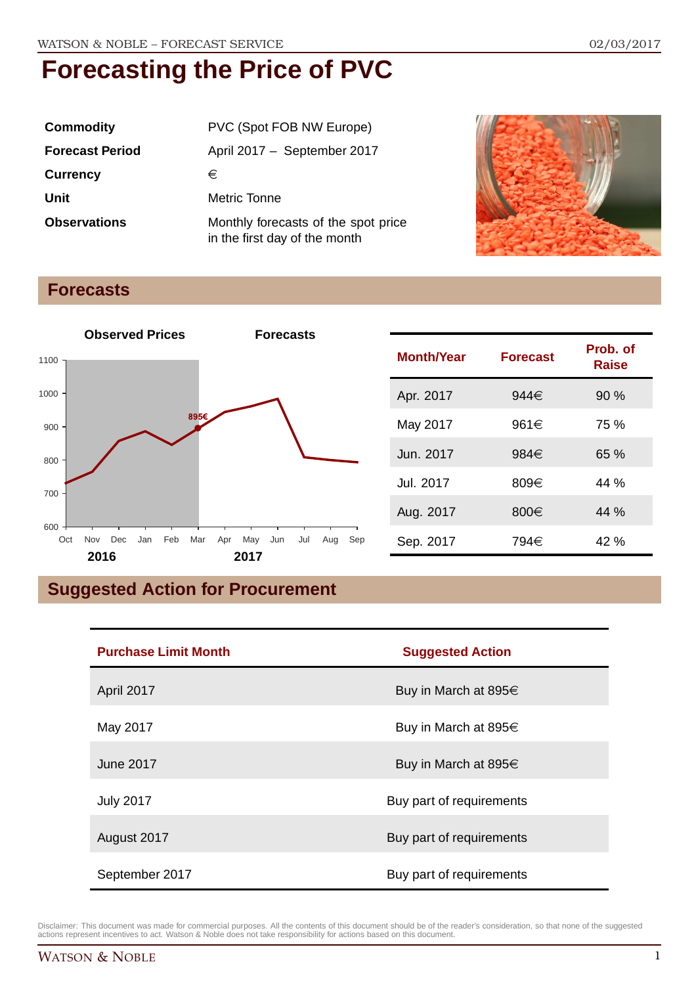| <b>Commodity</b>       | PVC (Spot FOB NW Europe)                                             |  |
|------------------------|----------------------------------------------------------------------|--|
| <b>Forecast Period</b> | April 2017 - September 2017                                          |  |
| <b>Currency</b>        | €                                                                    |  |
| Unit                   | Metric Tonne                                                         |  |
| <b>Observations</b>    | Monthly forecasts of the spot price<br>in the first day of the month |  |



### **Forecasts**



| <b>Month/Year</b> | <b>Forecast</b> | Prob. of<br>Raise |
|-------------------|-----------------|-------------------|
| Apr. 2017         | 944€            | 90%               |
| May 2017          | 961€            | 75 %              |
| Jun. 2017         | 984€            | 65%               |
| Jul. 2017         | 809€            | 44 %              |
| Aug. 2017         | 800€            | 44 %              |
| Sep. 2017         | 794€            | 42 %              |

## **Suggested Action for Procurement**

| <b>Purchase Limit Month</b> | <b>Suggested Action</b>   |  |
|-----------------------------|---------------------------|--|
| April 2017                  | Buy in March at 895€      |  |
| May 2017                    | Buy in March at 895€      |  |
| June 2017                   | Buy in March at 895 $\in$ |  |
| <b>July 2017</b>            | Buy part of requirements  |  |
| August 2017                 | Buy part of requirements  |  |
| September 2017              | Buy part of requirements  |  |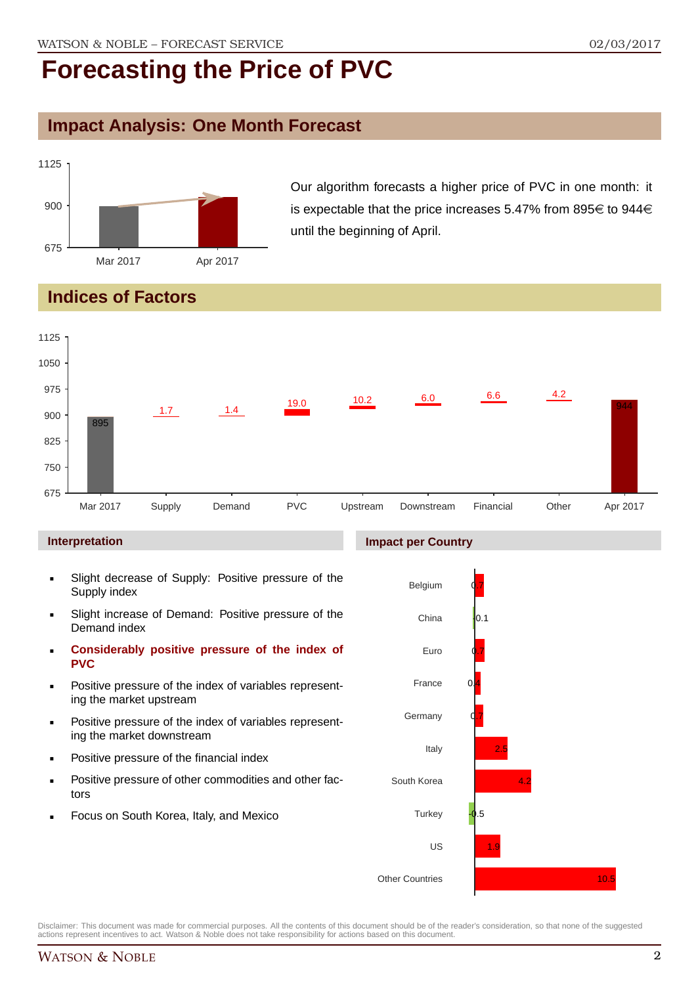### **Impact Analysis: One Month Forecast**



Our algorithm forecasts a higher price of PVC in one month: it is expectable that the price increases 5.47% from 895 $\in$  to 944 $\in$ until the beginning of April.

## **Indices of Factors**



#### **Interpretation**

- Slight decrease of Supply: Positive pressure of the Supply index
- Slight increase of Demand: Positive pressure of the Demand index
- **Considerably positive pressure of the index of PVC**
- Positive pressure of the index of variables representing the market upstream
- Positive pressure of the index of variables representing the market downstream
- Positive pressure of the financial index
- Positive pressure of other commodities and other factors
- Focus on South Korea, Italy, and Mexico



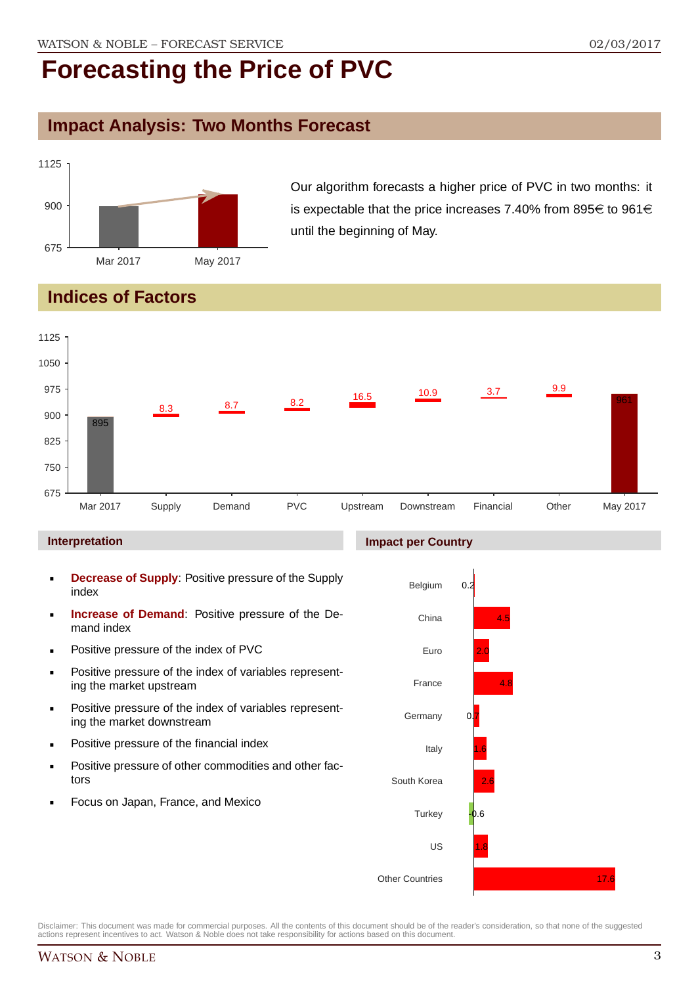### **Impact Analysis: Two Months Forecast**



Our algorithm forecasts a higher price of PVC in two months: it is expectable that the price increases 7.40% from 895 $\in$  to 961 $\in$ until the beginning of May.

## **Indices of Factors**



#### **Interpretation**

- **Decrease of Supply**: Positive pressure of the Supply index
- **Increase of Demand**: Positive pressure of the Demand index
- **Positive pressure of the index of PVC**
- Positive pressure of the index of variables representing the market upstream
- **Positive pressure of the index of variables represent**ing the market downstream
- **•** Positive pressure of the financial index
- **Positive pressure of other commodities and other fac**tors
- Focus on Japan, France, and Mexico

#### **Impact per Country**



Disclaimer: This document was made for commercial purposes. All the contents of this document should be of the reader's consideration, so that none of the suggested actions represent incentives to act. Watson & Noble does not take responsibility for actions based on this document.

17.6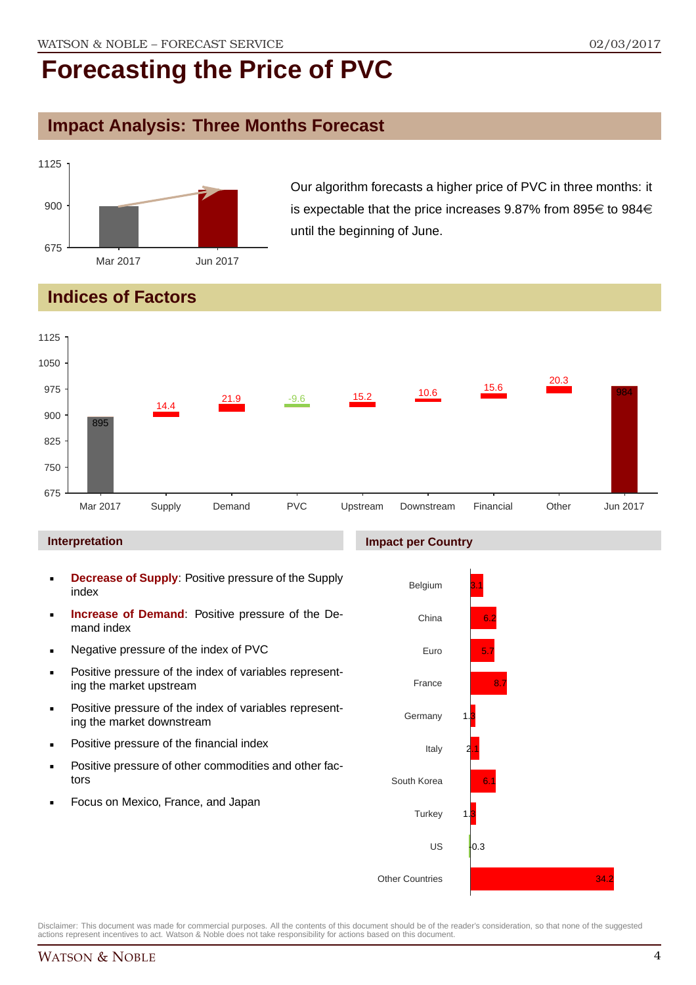## **Impact Analysis: Three Months Forecast**



Our algorithm forecasts a higher price of PVC in three months: it is expectable that the price increases 9.87% from 895 $\in$  to 984 $\in$ until the beginning of June.

## **Indices of Factors**



#### **Interpretation**

- **Decrease of Supply**: Positive pressure of the Supply index
- **Increase of Demand**: Positive pressure of the Demand index
- **Negative pressure of the index of PVC**
- **Positive pressure of the index of variables represent**ing the market upstream
- **Positive pressure of the index of variables represent**ing the market downstream
- **•** Positive pressure of the financial index
- **Positive pressure of other commodities and other fac**tors
- Focus on Mexico, France, and Japan

#### **Impact per Country**

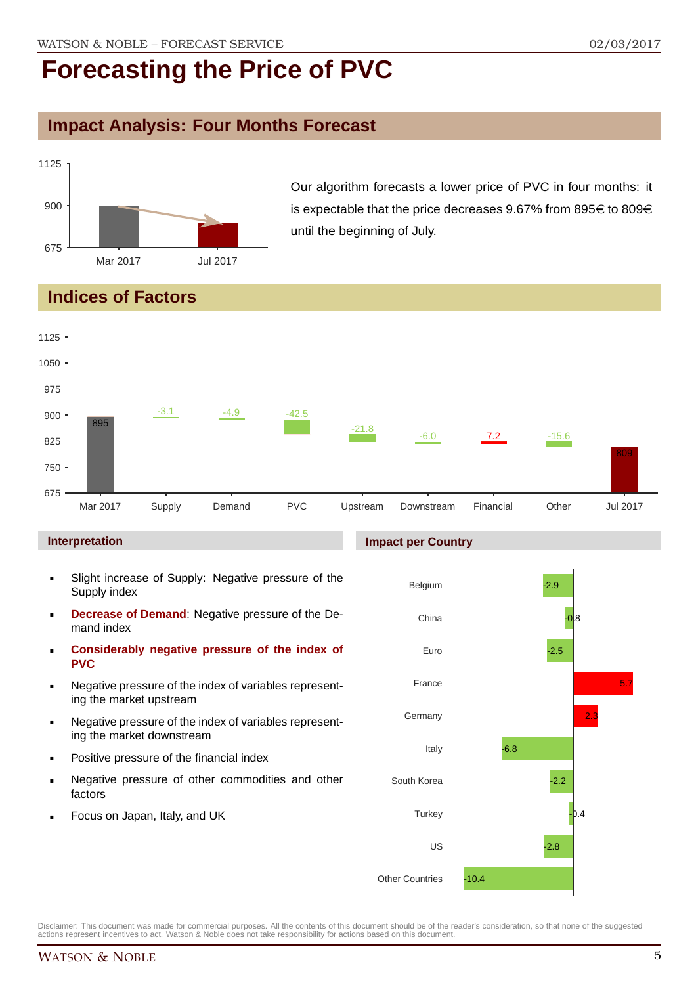## **Impact Analysis: Four Months Forecast**



Our algorithm forecasts a lower price of PVC in four months: it is expectable that the price decreases 9.67% from 895 $\in$  to 809 $\in$ until the beginning of July.

### **Indices of Factors**



#### **Interpretation**

- Slight increase of Supply: Negative pressure of the Supply index
- **Decrease of Demand**: Negative pressure of the Demand index
- **Considerably negative pressure of the index of PVC**
- Negative pressure of the index of variables representing the market upstream
- Negative pressure of the index of variables representing the market downstream
- Positive pressure of the financial index
- Negative pressure of other commodities and other factors
- Focus on Japan, Italy, and UK

#### **Impact per Country**

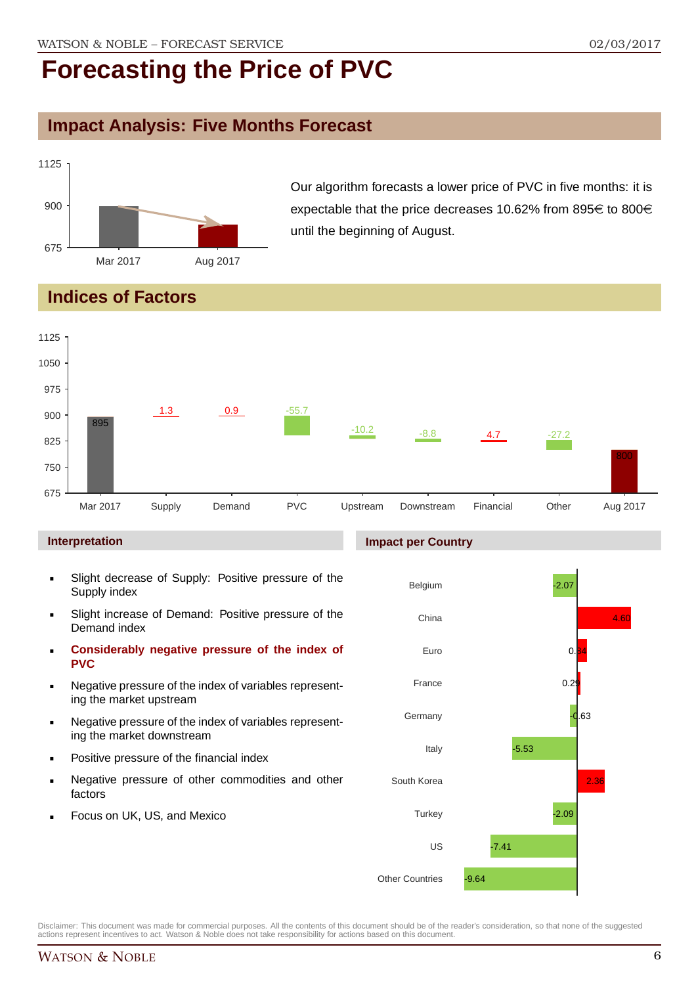## **Impact Analysis: Five Months Forecast**



Our algorithm forecasts a lower price of PVC in five months: it is expectable that the price decreases 10.62% from 895 $\in$  to 800 $\in$ until the beginning of August.

## **Indices of Factors**



#### **Interpretation**

- Slight decrease of Supply: Positive pressure of the Supply index
- Slight increase of Demand: Positive pressure of the Demand index
- **Considerably negative pressure of the index of PVC**
- Negative pressure of the index of variables representing the market upstream
- Negative pressure of the index of variables representing the market downstream
- Positive pressure of the financial index
- Negative pressure of other commodities and other factors
- Focus on UK, US, and Mexico

#### **Impact per Country**

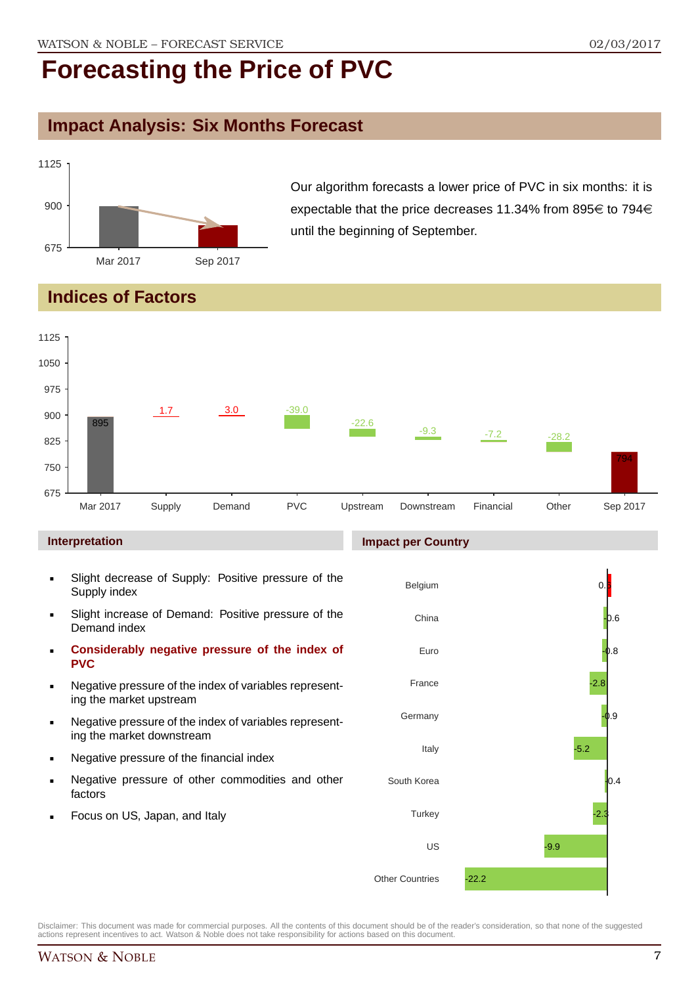## **Impact Analysis: Six Months Forecast**



Our algorithm forecasts a lower price of PVC in six months: it is expectable that the price decreases 11.34% from 895 $\in$  to 794 $\in$ until the beginning of September.

### **Indices of Factors**



#### **Interpretation**

- Slight decrease of Supply: Positive pressure of the Supply index
- Slight increase of Demand: Positive pressure of the Demand index
- **Considerably negative pressure of the index of PVC**
- Negative pressure of the index of variables representing the market upstream
- Negative pressure of the index of variables representing the market downstream
- Negative pressure of the financial index
- Negative pressure of other commodities and other factors
- Focus on US, Japan, and Italy

#### **Impact per Country**

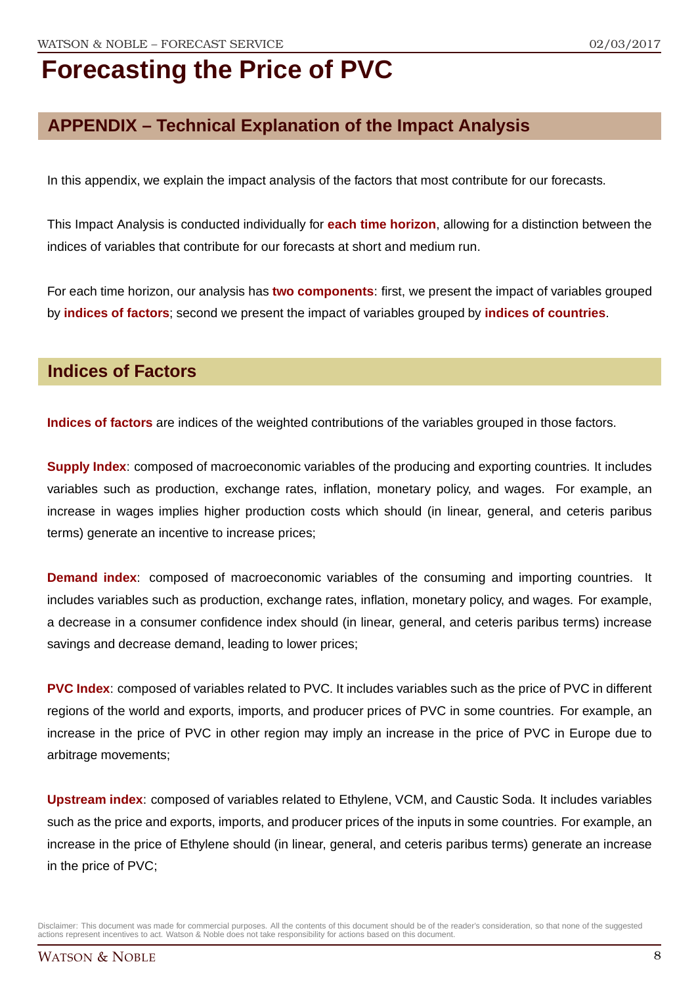## **APPENDIX – Technical Explanation of the Impact Analysis**

In this appendix, we explain the impact analysis of the factors that most contribute for our forecasts.

This Impact Analysis is conducted individually for **each time horizon**, allowing for a distinction between the indices of variables that contribute for our forecasts at short and medium run.

For each time horizon, our analysis has **two components**: first, we present the impact of variables grouped by **indices of factors**; second we present the impact of variables grouped by **indices of countries**.

### **Indices of Factors**

**Indices of factors** are indices of the weighted contributions of the variables grouped in those factors.

**Supply Index**: composed of macroeconomic variables of the producing and exporting countries. It includes variables such as production, exchange rates, inflation, monetary policy, and wages. For example, an increase in wages implies higher production costs which should (in linear, general, and ceteris paribus terms) generate an incentive to increase prices;

**Demand index**: composed of macroeconomic variables of the consuming and importing countries. It includes variables such as production, exchange rates, inflation, monetary policy, and wages. For example, a decrease in a consumer confidence index should (in linear, general, and ceteris paribus terms) increase savings and decrease demand, leading to lower prices;

**PVC Index**: composed of variables related to PVC. It includes variables such as the price of PVC in different regions of the world and exports, imports, and producer prices of PVC in some countries. For example, an increase in the price of PVC in other region may imply an increase in the price of PVC in Europe due to arbitrage movements;

**Upstream index**: composed of variables related to Ethylene, VCM, and Caustic Soda. It includes variables such as the price and exports, imports, and producer prices of the inputs in some countries. For example, an increase in the price of Ethylene should (in linear, general, and ceteris paribus terms) generate an increase in the price of PVC;